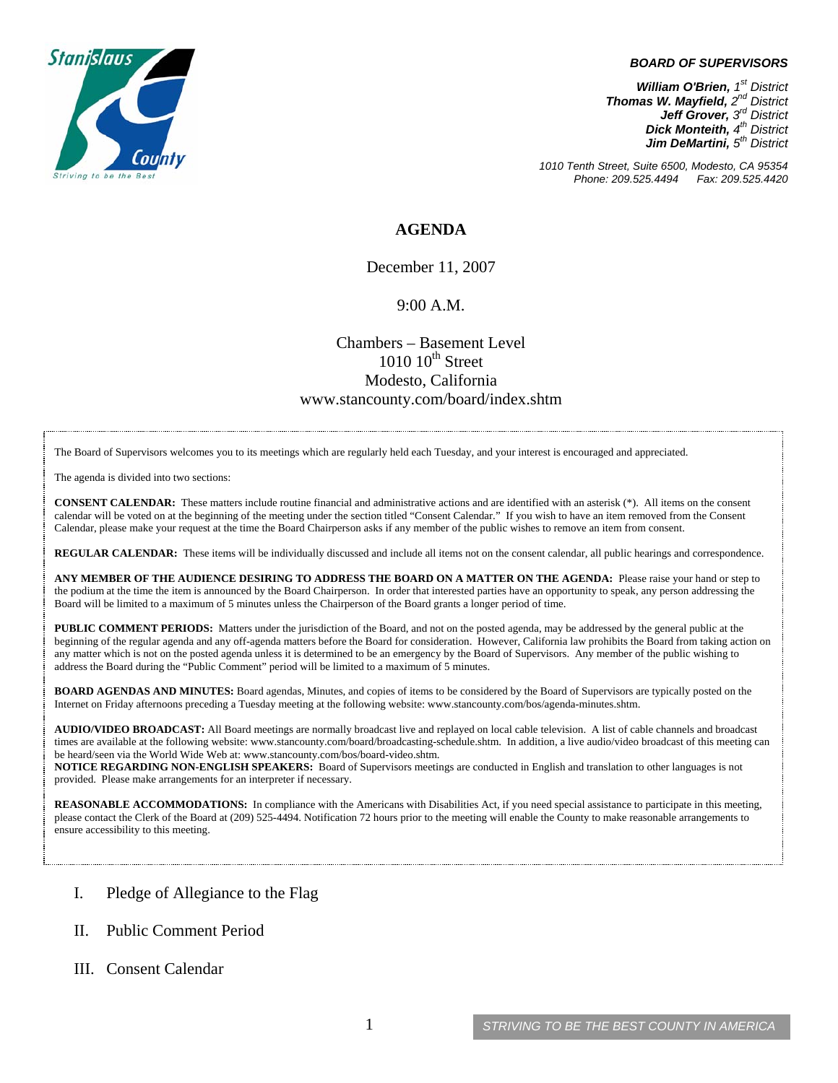

#### *BOARD OF SUPERVISORS*

*William O'Brien, 1st District Thomas W. Mayfield, 2nd District Jeff Grover, 3rd District Dick Monteith, 4th District Jim DeMartini, 5th District*

*1010 Tenth Street, Suite 6500, Modesto, CA 95354 Phone: 209.525.4494 Fax: 209.525.4420* 

## **AGENDA**

December 11, 2007

### 9:00 A.M.

## Chambers – Basement Level  $1010 \cdot 10^{th}$  Street Modesto, California www.stancounty.com/board/index.shtm

The Board of Supervisors welcomes you to its meetings which are regularly held each Tuesday, and your interest is encouraged and appreciated.

The agenda is divided into two sections:

**CONSENT CALENDAR:** These matters include routine financial and administrative actions and are identified with an asterisk (\*). All items on the consent calendar will be voted on at the beginning of the meeting under the section titled "Consent Calendar." If you wish to have an item removed from the Consent Calendar, please make your request at the time the Board Chairperson asks if any member of the public wishes to remove an item from consent.

**REGULAR CALENDAR:** These items will be individually discussed and include all items not on the consent calendar, all public hearings and correspondence.

**ANY MEMBER OF THE AUDIENCE DESIRING TO ADDRESS THE BOARD ON A MATTER ON THE AGENDA:** Please raise your hand or step to the podium at the time the item is announced by the Board Chairperson. In order that interested parties have an opportunity to speak, any person addressing the Board will be limited to a maximum of 5 minutes unless the Chairperson of the Board grants a longer period of time.

**PUBLIC COMMENT PERIODS:** Matters under the jurisdiction of the Board, and not on the posted agenda, may be addressed by the general public at the beginning of the regular agenda and any off-agenda matters before the Board for consideration. However, California law prohibits the Board from taking action on any matter which is not on the posted agenda unless it is determined to be an emergency by the Board of Supervisors. Any member of the public wishing to address the Board during the "Public Comment" period will be limited to a maximum of 5 minutes.

**BOARD AGENDAS AND MINUTES:** Board agendas, Minutes, and copies of items to be considered by the Board of Supervisors are typically posted on the Internet on Friday afternoons preceding a Tuesday meeting at the following website: www.stancounty.com/bos/agenda-minutes.shtm.

**AUDIO/VIDEO BROADCAST:** All Board meetings are normally broadcast live and replayed on local cable television. A list of cable channels and broadcast times are available at the following website: www.stancounty.com/board/broadcasting-schedule.shtm. In addition, a live audio/video broadcast of this meeting can be heard/seen via the World Wide Web at: www.stancounty.com/bos/board-video.shtm.

**NOTICE REGARDING NON-ENGLISH SPEAKERS:** Board of Supervisors meetings are conducted in English and translation to other languages is not provided. Please make arrangements for an interpreter if necessary.

**REASONABLE ACCOMMODATIONS:** In compliance with the Americans with Disabilities Act, if you need special assistance to participate in this meeting, please contact the Clerk of the Board at (209) 525-4494. Notification 72 hours prior to the meeting will enable the County to make reasonable arrangements to ensure accessibility to this meeting.

- I. Pledge of Allegiance to the Flag
- II. Public Comment Period
- III. Consent Calendar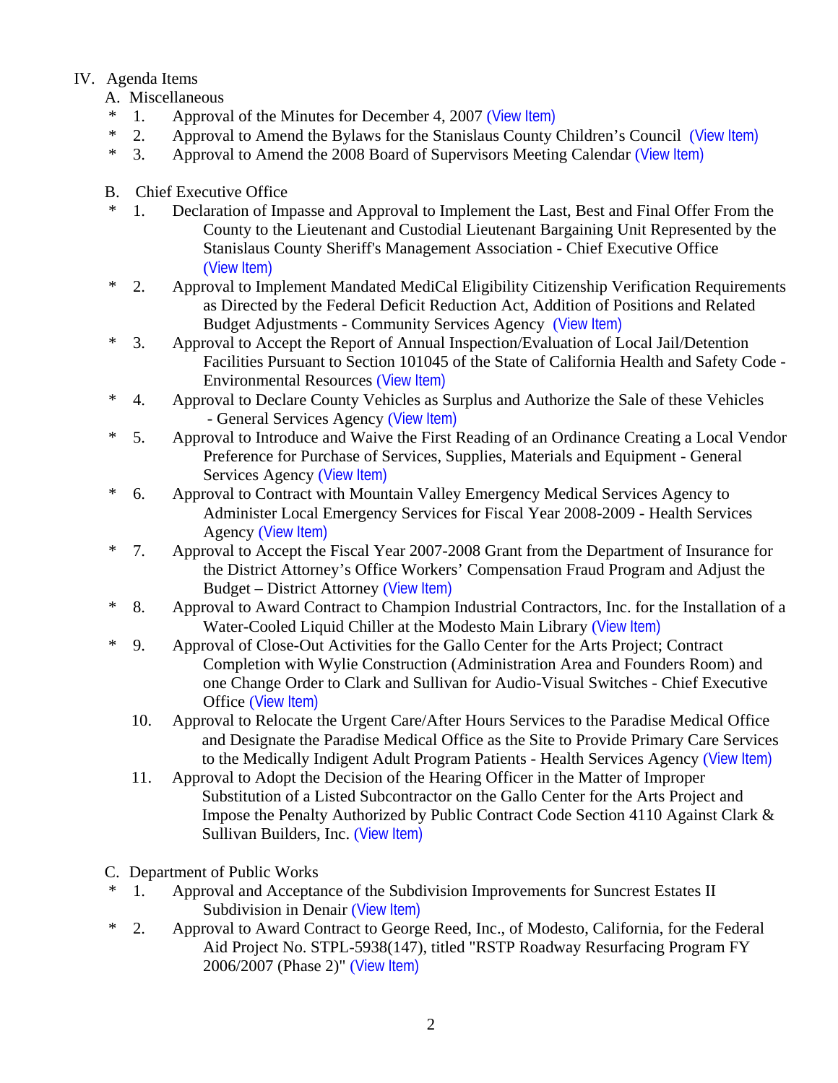# IV. Agenda Items

- A. Miscellaneous
- \* 1. Approval of the Minutes for December 4, 2007 ([View Item\)](http://www.stancounty.com/bos/minutes/2007/min12-04-07.pdf)
- \* 2. Approval to Amend the Bylaws for the Stanislaus County Children's Council ([View Item\)](http://www.stancounty.com/bos/agenda/2007/20071211/A02.pdf)
- \* 3. Approval to Amend the 2008 Board of Supervisors Meeting Calendar ([View Item\)](http://www.stancounty.com/bos/agenda/2007/20071211/A03.pdf)
- B. Chief Executive Office
- \* 1. Declaration of Impasse and Approval to Implement the Last, Best and Final Offer From the County to the Lieutenant and Custodial Lieutenant Bargaining Unit Represented by the Stanislaus County Sheriff's Management Association - Chief Executive Office ([View Item\)](http://www.stancounty.com/bos/agenda/2007/20071211/B01.pdf)
- \* 2. Approval to Implement Mandated MediCal Eligibility Citizenship Verification Requirements as Directed by the Federal Deficit Reduction Act, Addition of Positions and Related Budget Adjustments - Community Services Agency ([View Item\)](http://www.stancounty.com/bos/agenda/2007/20071211/B02.pdf)
- \* 3. Approval to Accept the Report of Annual Inspection/Evaluation of Local Jail/Detention Facilities Pursuant to Section 101045 of the State of California Health and Safety Code - Environmental Resources ([View Item\)](http://www.stancounty.com/bos/agenda/2007/20071211/B03.pdf)
- \* 4. Approval to Declare County Vehicles as Surplus and Authorize the Sale of these Vehicles - General Services Agency ([View Item\)](http://www.stancounty.com/bos/agenda/2007/20071211/B04.pdf)
- \* 5. Approval to Introduce and Waive the First Reading of an Ordinance Creating a Local Vendor Preference for Purchase of Services, Supplies, Materials and Equipment - General Services Agency ([View Item\)](http://www.stancounty.com/bos/agenda/2007/20071211/B05.pdf)
- \* 6. Approval to Contract with Mountain Valley Emergency Medical Services Agency to Administer Local Emergency Services for Fiscal Year 2008-2009 - Health Services Agency ([View Item\)](http://www.stancounty.com/bos/agenda/2007/20071211/B06.pdf)
- \* 7. Approval to Accept the Fiscal Year 2007-2008 Grant from the Department of Insurance for the District Attorney's Office Workers' Compensation Fraud Program and Adjust the Budget – District Attorney ([View Item\)](http://www.stancounty.com/bos/agenda/2007/20071211/B07.pdf)
- \* 8. Approval to Award Contract to Champion Industrial Contractors, Inc. for the Installation of a Water-Cooled Liquid Chiller at the Modesto Main Library ([View Item\)](http://www.stancounty.com/bos/agenda/2007/20071211/B08.pdf)
- \* 9. Approval of Close-Out Activities for the Gallo Center for the Arts Project; Contract Completion with Wylie Construction (Administration Area and Founders Room) and one Change Order to Clark and Sullivan for Audio-Visual Switches - Chief Executive Office ([View Item\)](http://www.stancounty.com/bos/agenda/2007/20071211/B09.pdf)
	- 10. Approval to Relocate the Urgent Care/After Hours Services to the Paradise Medical Office and Designate the Paradise Medical Office as the Site to Provide Primary Care Services to the Medically Indigent Adult Program Patients - Health Services Agency ([View Item\)](http://www.stancounty.com/bos/agenda/2007/20071211/B10.pdf)
	- 11. Approval to Adopt the Decision of the Hearing Officer in the Matter of Improper Substitution of a Listed Subcontractor on the Gallo Center for the Arts Project and Impose the Penalty Authorized by Public Contract Code Section 4110 Against Clark & Sullivan Builders, Inc. ([View Item\)](http://www.stancounty.com/bos/agenda/2007/20071211/B11.pdf)
- C. Department of Public Works
- \* 1. Approval and Acceptance of the Subdivision Improvements for Suncrest Estates II Subdivision in Denair ([View Item\)](http://www.stancounty.com/bos/agenda/2007/20071211/C01.pdf)
- \* 2. Approval to Award Contract to George Reed, Inc., of Modesto, California, for the Federal Aid Project No. STPL-5938(147), titled "RSTP Roadway Resurfacing Program FY 2006/2007 (Phase 2)" ([View Item\)](http://www.stancounty.com/bos/agenda/2007/20071211/C02.pdf)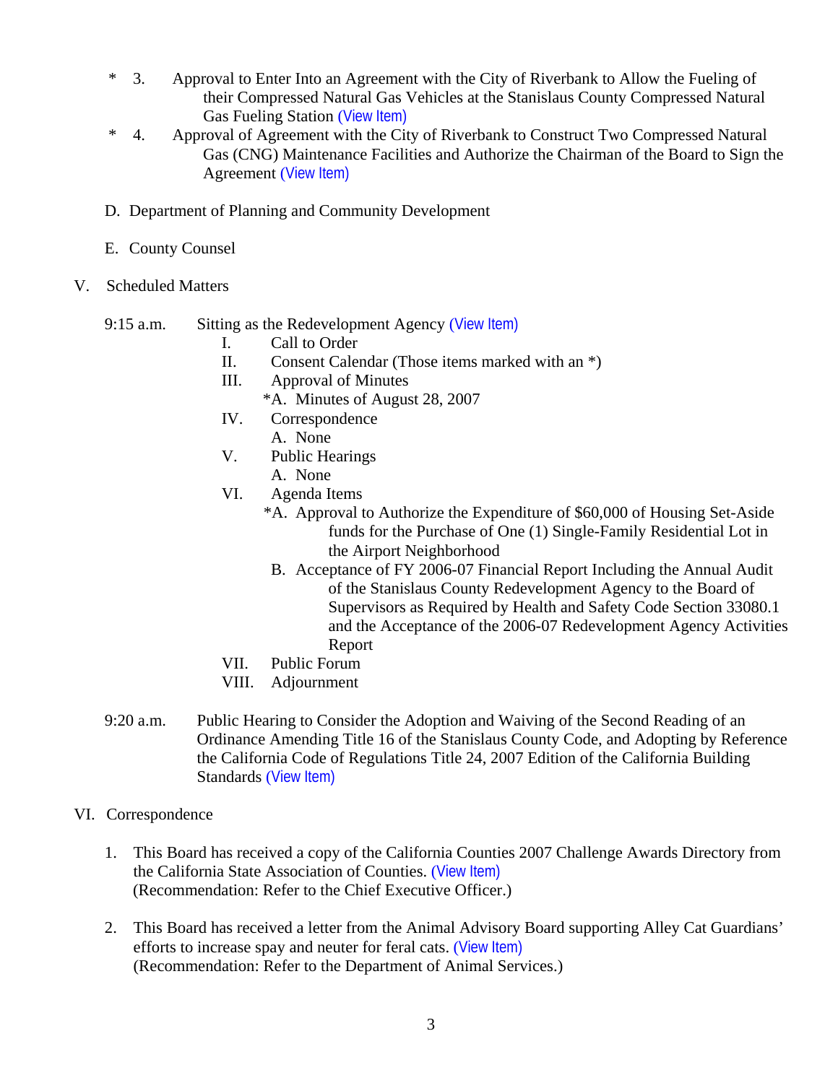- \* 3. Approval to Enter Into an Agreement with the City of Riverbank to Allow the Fueling of their Compressed Natural Gas Vehicles at the Stanislaus County Compressed Natural Gas Fueling Station ([View Item\)](http://www.stancounty.com/bos/agenda/2007/20071211/C03.pdf)
- \* 4. Approval of Agreement with the City of Riverbank to Construct Two Compressed Natural Gas (CNG) Maintenance Facilities and Authorize the Chairman of the Board to Sign the Agreement ([View Item\)](http://www.stancounty.com/bos/agenda/2007/20071211/C04.pdf)
- D. Department of Planning and Community Development
- E. County Counsel
- V. Scheduled Matters
	- 9:15 a.m. Sitting as the Redevelopment Agency ([View Item\)](http://www.stancounty.com/bos/agenda/2007/20071211/PH915.pdf)
		- I. Call to Order
		- II. Consent Calendar (Those items marked with an \*)
		- III. Approval of Minutes
		- \*A. Minutes of August 28, 2007
		- IV. Correspondence
			- A. None
		- V. Public Hearings
			- A. None
		- VI. Agenda Items
			- \*A. Approval to Authorize the Expenditure of \$60,000 of Housing Set-Aside funds for the Purchase of One (1) Single-Family Residential Lot in the Airport Neighborhood
				- B. Acceptance of FY 2006-07 Financial Report Including the Annual Audit of the Stanislaus County Redevelopment Agency to the Board of Supervisors as Required by Health and Safety Code Section 33080.1 and the Acceptance of the 2006-07 Redevelopment Agency Activities Report
		- VII. Public Forum
		- VIII. Adjournment
	- 9:20 a.m. Public Hearing to Consider the Adoption and Waiving of the Second Reading of an Ordinance Amending Title 16 of the Stanislaus County Code, and Adopting by Reference the California Code of Regulations Title 24, 2007 Edition of the California Building Standards ([View Item\)](http://www.stancounty.com/bos/agenda/2007/20071211/PH920.pdf)
- VI. Correspondence
	- 1. This Board has received a copy of the California Counties 2007 Challenge Awards Directory from the California State Association of Counties. ([View Item\)](http://www.stancounty.com/bos/agenda/2007/20071211/Corr01.pdf) (Recommendation: Refer to the Chief Executive Officer.)
	- 2. This Board has received a letter from the Animal Advisory Board supporting Alley Cat Guardians' efforts to increase spay and neuter for feral cats. ([View Item\)](http://www.stancounty.com/bos/agenda/2007/20071211/Corr02.pdf) (Recommendation: Refer to the Department of Animal Services.)